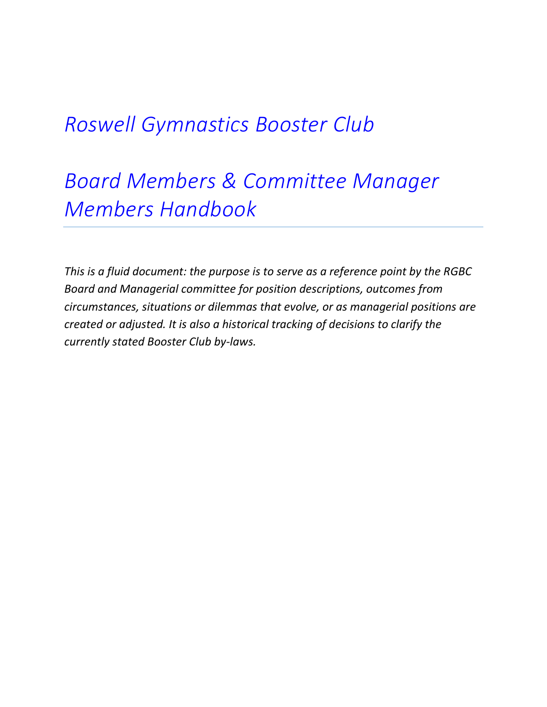# *Roswell Gymnastics Booster Club*

# *Board Members & Committee Manager Members Handbook*

*This is a fluid document: the purpose is to serve as a reference point by the RGBC Board and Managerial committee for position descriptions, outcomes from circumstances, situations or dilemmas that evolve, or as managerial positions are created or adjusted. It is also a historical tracking of decisions to clarify the currently stated Booster Club by-laws.*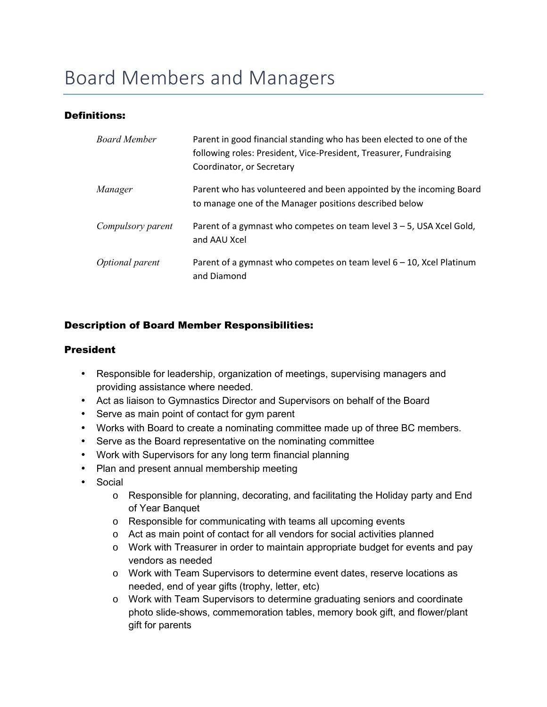# Board Members and Managers

## Definitions:

| <b>Board Member</b> | Parent in good financial standing who has been elected to one of the<br>following roles: President, Vice-President, Treasurer, Fundraising<br>Coordinator, or Secretary |
|---------------------|-------------------------------------------------------------------------------------------------------------------------------------------------------------------------|
| Manager             | Parent who has volunteered and been appointed by the incoming Board<br>to manage one of the Manager positions described below                                           |
| Compulsory parent   | Parent of a gymnast who competes on team level $3 - 5$ , USA Xcel Gold,<br>and AAU Xcel                                                                                 |
| Optional parent     | Parent of a gymnast who competes on team level $6 - 10$ , Xcel Platinum<br>and Diamond                                                                                  |

### Description of Board Member Responsibilities:

#### President

- Responsible for leadership, organization of meetings, supervising managers and providing assistance where needed.
- Act as liaison to Gymnastics Director and Supervisors on behalf of the Board
- Serve as main point of contact for gym parent
- Works with Board to create a nominating committee made up of three BC members.
- Serve as the Board representative on the nominating committee
- Work with Supervisors for any long term financial planning
- Plan and present annual membership meeting
- Social
	- o Responsible for planning, decorating, and facilitating the Holiday party and End of Year Banquet
	- o Responsible for communicating with teams all upcoming events
	- o Act as main point of contact for all vendors for social activities planned
	- o Work with Treasurer in order to maintain appropriate budget for events and pay vendors as needed
	- o Work with Team Supervisors to determine event dates, reserve locations as needed, end of year gifts (trophy, letter, etc)
	- o Work with Team Supervisors to determine graduating seniors and coordinate photo slide-shows, commemoration tables, memory book gift, and flower/plant gift for parents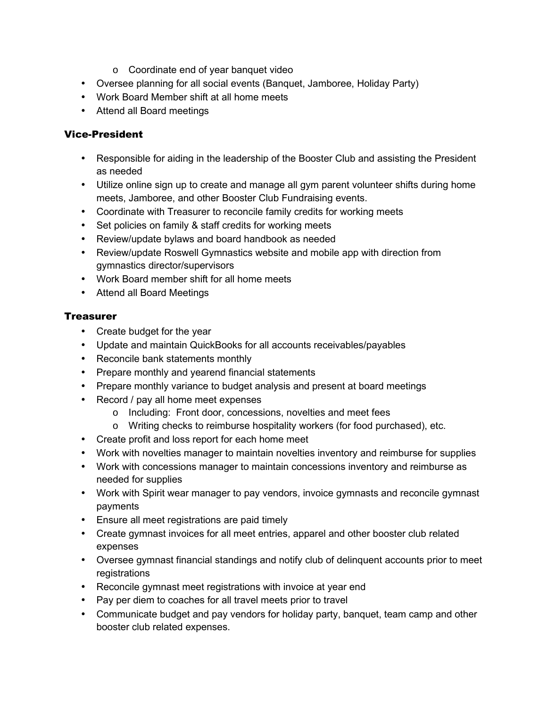- o Coordinate end of year banquet video
- Oversee planning for all social events (Banquet, Jamboree, Holiday Party)
- Work Board Member shift at all home meets
- Attend all Board meetings

## Vice-President

- Responsible for aiding in the leadership of the Booster Club and assisting the President as needed
- Utilize online sign up to create and manage all gym parent volunteer shifts during home meets, Jamboree, and other Booster Club Fundraising events.
- Coordinate with Treasurer to reconcile family credits for working meets
- Set policies on family & staff credits for working meets
- Review/update bylaws and board handbook as needed
- Review/update Roswell Gymnastics website and mobile app with direction from gymnastics director/supervisors
- Work Board member shift for all home meets
- Attend all Board Meetings

# **Treasurer**

- Create budget for the year
- Update and maintain QuickBooks for all accounts receivables/payables
- Reconcile bank statements monthly
- Prepare monthly and yearend financial statements
- Prepare monthly variance to budget analysis and present at board meetings
- Record / pay all home meet expenses
	- o Including: Front door, concessions, novelties and meet fees
	- o Writing checks to reimburse hospitality workers (for food purchased), etc.
- Create profit and loss report for each home meet
- Work with novelties manager to maintain novelties inventory and reimburse for supplies
- Work with concessions manager to maintain concessions inventory and reimburse as needed for supplies
- Work with Spirit wear manager to pay vendors, invoice gymnasts and reconcile gymnast payments
- Ensure all meet registrations are paid timely
- Create gymnast invoices for all meet entries, apparel and other booster club related expenses
- Oversee gymnast financial standings and notify club of delinquent accounts prior to meet registrations
- Reconcile gymnast meet registrations with invoice at year end
- Pay per diem to coaches for all travel meets prior to travel
- Communicate budget and pay vendors for holiday party, banquet, team camp and other booster club related expenses.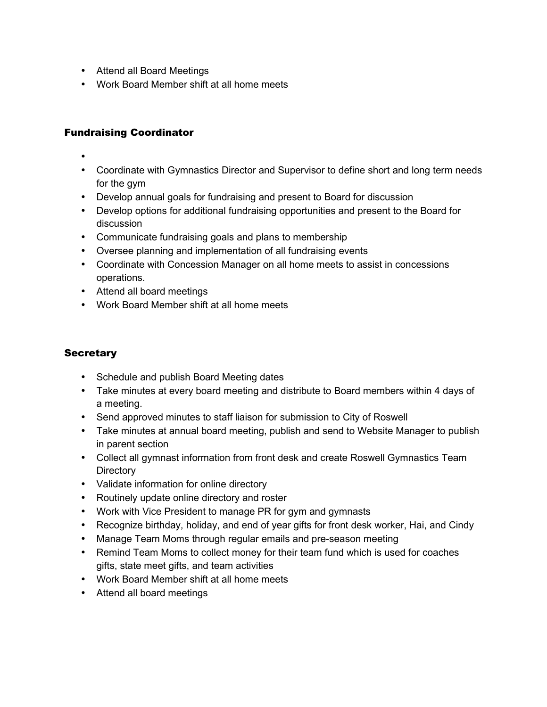- Attend all Board Meetings
- Work Board Member shift at all home meets

# Fundraising Coordinator

- •
- Coordinate with Gymnastics Director and Supervisor to define short and long term needs for the gym
- Develop annual goals for fundraising and present to Board for discussion
- Develop options for additional fundraising opportunities and present to the Board for discussion
- Communicate fundraising goals and plans to membership
- Oversee planning and implementation of all fundraising events
- Coordinate with Concession Manager on all home meets to assist in concessions operations.
- Attend all board meetings
- Work Board Member shift at all home meets

# **Secretary**

- Schedule and publish Board Meeting dates
- Take minutes at every board meeting and distribute to Board members within 4 days of a meeting.
- Send approved minutes to staff liaison for submission to City of Roswell
- Take minutes at annual board meeting, publish and send to Website Manager to publish in parent section
- Collect all gymnast information from front desk and create Roswell Gymnastics Team **Directory**
- Validate information for online directory
- Routinely update online directory and roster
- Work with Vice President to manage PR for gym and gymnasts
- Recognize birthday, holiday, and end of year gifts for front desk worker, Hai, and Cindy
- Manage Team Moms through regular emails and pre-season meeting
- Remind Team Moms to collect money for their team fund which is used for coaches gifts, state meet gifts, and team activities
- Work Board Member shift at all home meets
- Attend all board meetings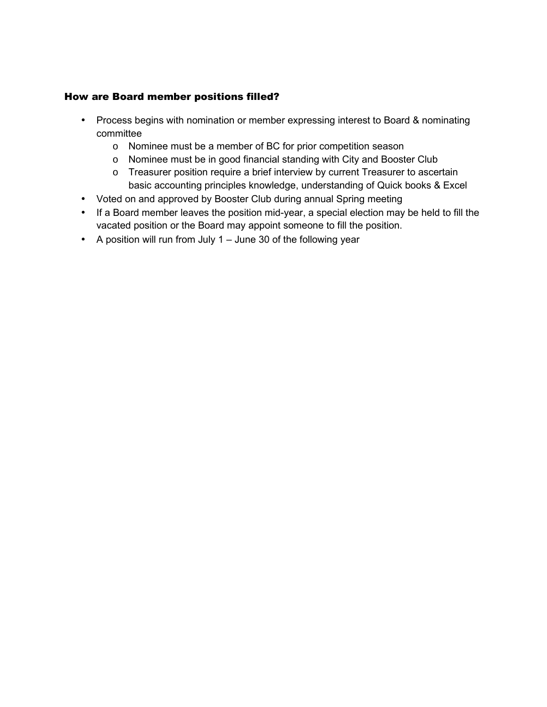## How are Board member positions filled?

- Process begins with nomination or member expressing interest to Board & nominating committee
	- o Nominee must be a member of BC for prior competition season
	- o Nominee must be in good financial standing with City and Booster Club
	- o Treasurer position require a brief interview by current Treasurer to ascertain basic accounting principles knowledge, understanding of Quick books & Excel
- Voted on and approved by Booster Club during annual Spring meeting
- If a Board member leaves the position mid-year, a special election may be held to fill the vacated position or the Board may appoint someone to fill the position.
- A position will run from July 1 June 30 of the following year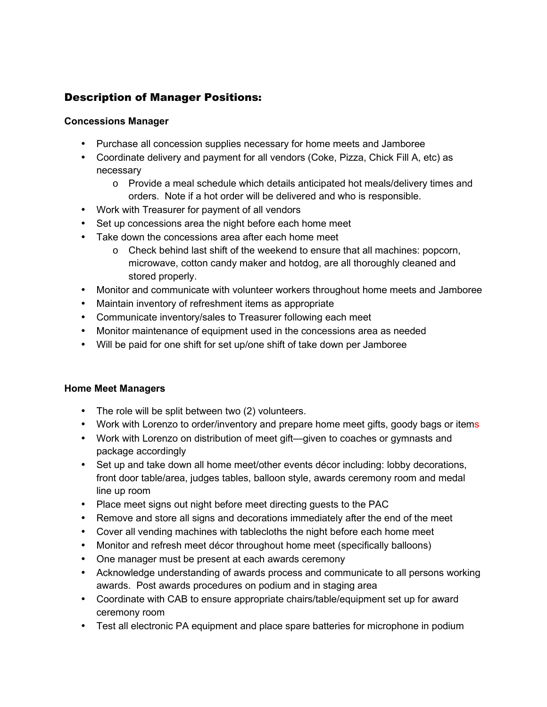# Description of Manager Positions:

### **Concessions Manager**

- Purchase all concession supplies necessary for home meets and Jamboree
- Coordinate delivery and payment for all vendors (Coke, Pizza, Chick Fill A, etc) as necessary
	- o Provide a meal schedule which details anticipated hot meals/delivery times and orders. Note if a hot order will be delivered and who is responsible.
- Work with Treasurer for payment of all vendors
- Set up concessions area the night before each home meet
- Take down the concessions area after each home meet
	- $\circ$  Check behind last shift of the weekend to ensure that all machines: popcorn, microwave, cotton candy maker and hotdog, are all thoroughly cleaned and stored properly.
- Monitor and communicate with volunteer workers throughout home meets and Jamboree
- Maintain inventory of refreshment items as appropriate
- Communicate inventory/sales to Treasurer following each meet
- Monitor maintenance of equipment used in the concessions area as needed
- Will be paid for one shift for set up/one shift of take down per Jamboree

## **Home Meet Managers**

- The role will be split between two (2) volunteers.
- Work with Lorenzo to order/inventory and prepare home meet gifts, goody bags or items
- Work with Lorenzo on distribution of meet gift—given to coaches or gymnasts and package accordingly
- Set up and take down all home meet/other events décor including: lobby decorations, front door table/area, judges tables, balloon style, awards ceremony room and medal line up room
- Place meet signs out night before meet directing guests to the PAC
- Remove and store all signs and decorations immediately after the end of the meet
- Cover all vending machines with tablecloths the night before each home meet
- Monitor and refresh meet décor throughout home meet (specifically balloons)
- One manager must be present at each awards ceremony
- Acknowledge understanding of awards process and communicate to all persons working awards. Post awards procedures on podium and in staging area
- Coordinate with CAB to ensure appropriate chairs/table/equipment set up for award ceremony room
- Test all electronic PA equipment and place spare batteries for microphone in podium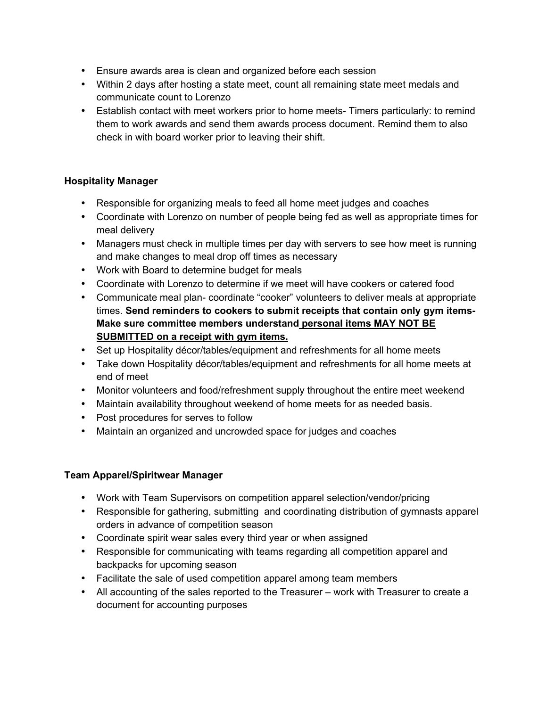- Ensure awards area is clean and organized before each session
- Within 2 days after hosting a state meet, count all remaining state meet medals and communicate count to Lorenzo
- Establish contact with meet workers prior to home meets- Timers particularly: to remind them to work awards and send them awards process document. Remind them to also check in with board worker prior to leaving their shift.

# **Hospitality Manager**

- Responsible for organizing meals to feed all home meet judges and coaches
- Coordinate with Lorenzo on number of people being fed as well as appropriate times for meal delivery
- Managers must check in multiple times per day with servers to see how meet is running and make changes to meal drop off times as necessary
- Work with Board to determine budget for meals
- Coordinate with Lorenzo to determine if we meet will have cookers or catered food
- Communicate meal plan- coordinate "cooker" volunteers to deliver meals at appropriate times. **Send reminders to cookers to submit receipts that contain only gym items-Make sure committee members understand personal items MAY NOT BE SUBMITTED on a receipt with gym items.**
- Set up Hospitality décor/tables/equipment and refreshments for all home meets
- Take down Hospitality décor/tables/equipment and refreshments for all home meets at end of meet
- Monitor volunteers and food/refreshment supply throughout the entire meet weekend
- Maintain availability throughout weekend of home meets for as needed basis.
- Post procedures for serves to follow
- Maintain an organized and uncrowded space for judges and coaches

## **Team Apparel/Spiritwear Manager**

- Work with Team Supervisors on competition apparel selection/vendor/pricing
- Responsible for gathering, submitting and coordinating distribution of gymnasts apparel orders in advance of competition season
- Coordinate spirit wear sales every third year or when assigned
- Responsible for communicating with teams regarding all competition apparel and backpacks for upcoming season
- Facilitate the sale of used competition apparel among team members
- All accounting of the sales reported to the Treasurer work with Treasurer to create a document for accounting purposes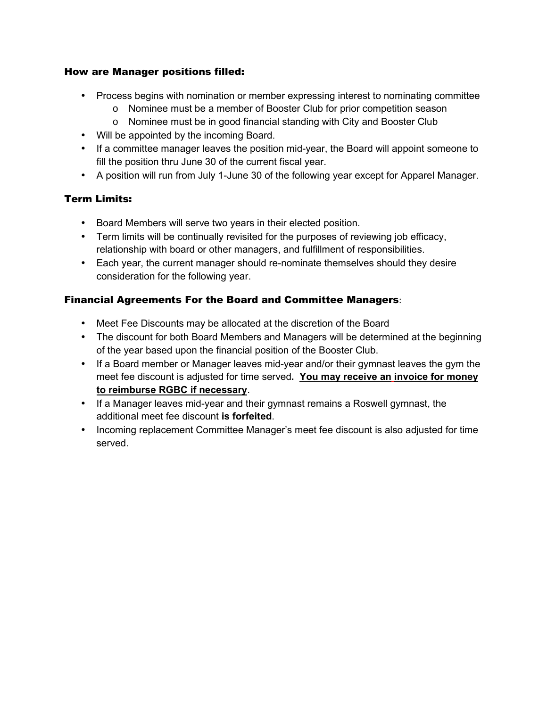## How are Manager positions filled:

- Process begins with nomination or member expressing interest to nominating committee
	- o Nominee must be a member of Booster Club for prior competition season
	- o Nominee must be in good financial standing with City and Booster Club
- Will be appointed by the incoming Board.
- If a committee manager leaves the position mid-year, the Board will appoint someone to fill the position thru June 30 of the current fiscal year.
- A position will run from July 1-June 30 of the following year except for Apparel Manager.

# Term Limits:

- Board Members will serve two years in their elected position.
- Term limits will be continually revisited for the purposes of reviewing job efficacy, relationship with board or other managers, and fulfillment of responsibilities.
- Each year, the current manager should re-nominate themselves should they desire consideration for the following year.

# Financial Agreements For the Board and Committee Managers:

- Meet Fee Discounts may be allocated at the discretion of the Board
- The discount for both Board Members and Managers will be determined at the beginning of the year based upon the financial position of the Booster Club.
- If a Board member or Manager leaves mid-year and/or their gymnast leaves the gym the meet fee discount is adjusted for time served**. You may receive an invoice for money to reimburse RGBC if necessary**.
- If a Manager leaves mid-year and their gymnast remains a Roswell gymnast, the additional meet fee discount **is forfeited**.
- Incoming replacement Committee Manager's meet fee discount is also adjusted for time served.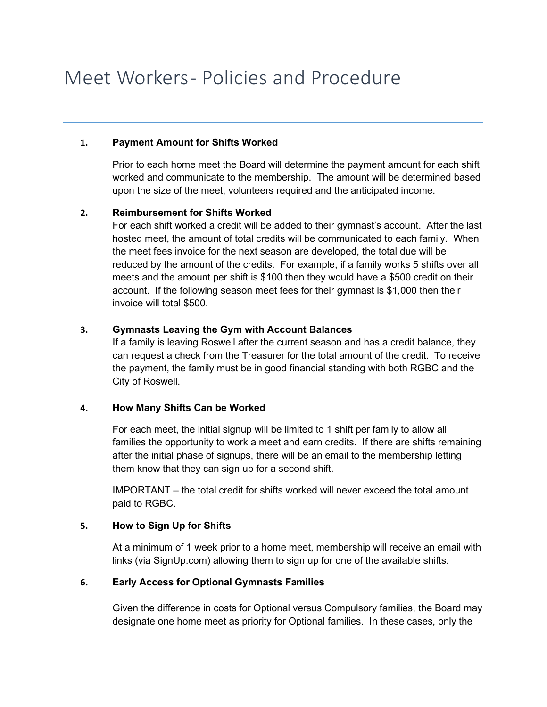# Meet Workers- Policies and Procedure

#### **1. Payment Amount for Shifts Worked**

Prior to each home meet the Board will determine the payment amount for each shift worked and communicate to the membership. The amount will be determined based upon the size of the meet, volunteers required and the anticipated income.

#### **2. Reimbursement for Shifts Worked**

For each shift worked a credit will be added to their gymnast's account. After the last hosted meet, the amount of total credits will be communicated to each family. When the meet fees invoice for the next season are developed, the total due will be reduced by the amount of the credits. For example, if a family works 5 shifts over all meets and the amount per shift is \$100 then they would have a \$500 credit on their account. If the following season meet fees for their gymnast is \$1,000 then their invoice will total \$500.

## **3. Gymnasts Leaving the Gym with Account Balances**

If a family is leaving Roswell after the current season and has a credit balance, they can request a check from the Treasurer for the total amount of the credit. To receive the payment, the family must be in good financial standing with both RGBC and the City of Roswell.

#### **4. How Many Shifts Can be Worked**

For each meet, the initial signup will be limited to 1 shift per family to allow all families the opportunity to work a meet and earn credits. If there are shifts remaining after the initial phase of signups, there will be an email to the membership letting them know that they can sign up for a second shift.

IMPORTANT – the total credit for shifts worked will never exceed the total amount paid to RGBC.

#### **5. How to Sign Up for Shifts**

At a minimum of 1 week prior to a home meet, membership will receive an email with links (via SignUp.com) allowing them to sign up for one of the available shifts.

#### **6. Early Access for Optional Gymnasts Families**

Given the difference in costs for Optional versus Compulsory families, the Board may designate one home meet as priority for Optional families. In these cases, only the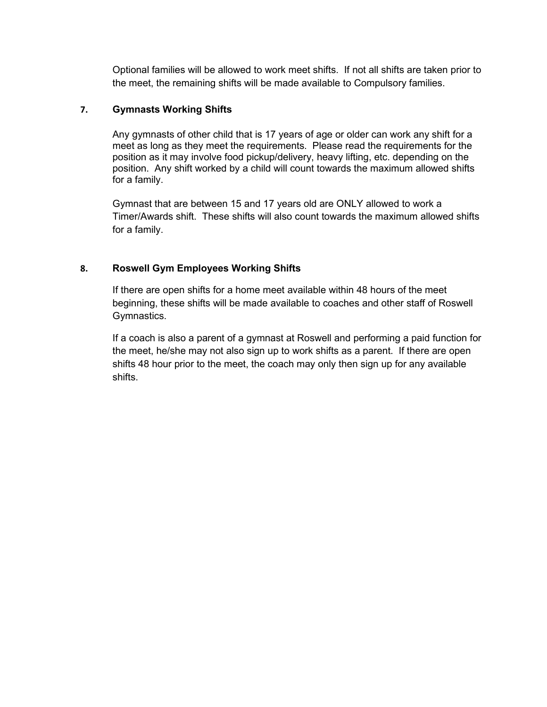Optional families will be allowed to work meet shifts. If not all shifts are taken prior to the meet, the remaining shifts will be made available to Compulsory families.

#### **7. Gymnasts Working Shifts**

Any gymnasts of other child that is 17 years of age or older can work any shift for a meet as long as they meet the requirements. Please read the requirements for the position as it may involve food pickup/delivery, heavy lifting, etc. depending on the position. Any shift worked by a child will count towards the maximum allowed shifts for a family.

Gymnast that are between 15 and 17 years old are ONLY allowed to work a Timer/Awards shift. These shifts will also count towards the maximum allowed shifts for a family.

#### **8. Roswell Gym Employees Working Shifts**

If there are open shifts for a home meet available within 48 hours of the meet beginning, these shifts will be made available to coaches and other staff of Roswell Gymnastics.

If a coach is also a parent of a gymnast at Roswell and performing a paid function for the meet, he/she may not also sign up to work shifts as a parent. If there are open shifts 48 hour prior to the meet, the coach may only then sign up for any available shifts.